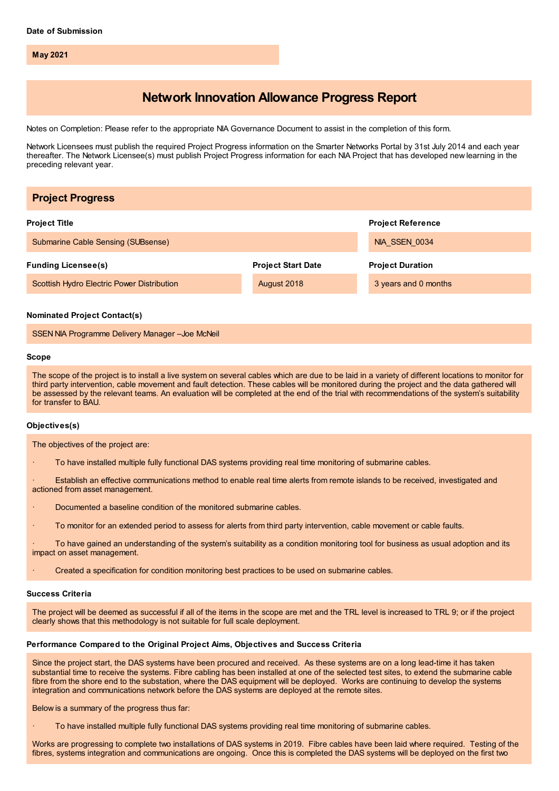**May 2021**

# **Network Innovation Allowance Progress Report**

Notes on Completion: Please refer to the appropriate NIA Governance Document to assist in the completion of this form.

Network Licensees must publish the required Project Progress information on the Smarter Networks Portal by 31st July 2014 and each year thereafter. The Network Licensee(s) must publish Project Progress information for each NIA Project that has developed new learning in the preceding relevant year.

| <b>Project Progress</b>                    |                           |                          |
|--------------------------------------------|---------------------------|--------------------------|
| <b>Project Title</b>                       |                           | <b>Project Reference</b> |
| Submarine Cable Sensing (SUBsense)         |                           | NIA SSEN 0034            |
| <b>Funding Licensee(s)</b>                 | <b>Project Start Date</b> | <b>Project Duration</b>  |
| Scottish Hydro Electric Power Distribution | August 2018               | 3 years and 0 months     |
|                                            |                           |                          |

#### **Nominated Project Contact(s)**

SSEN NIA Programme Delivery Manager –Joe McNeil

#### **Scope**

The scope of the project is to install a live system on several cables which are due to be laid in a variety of different locations to monitor for third party intervention, cable movement and fault detection. These cables will be monitored during the project and the data gathered will be assessed by the relevant teams. An evaluation will be completed at the end of the trial with recommendations of the system's suitability for transfer to BAU.

### **Objectives(s)**

The objectives of the project are:

· To have installed multiple fully functional DAS systems providing real time monitoring of submarine cables.

Establish an effective communications method to enable real time alerts from remote islands to be received, investigated and actioned from asset management.

- Documented a baseline condition of the monitored submarine cables.
- · To monitor for an extended period to assess for alerts from third party intervention, cable movement or cable faults.

· To have gained an understanding of the system's suitability as a condition monitoring tool for business as usual adoption and its impact on asset management.

· Created a specification for condition monitoring best practices to be used on submarine cables.

#### **Success Criteria**

The project will be deemed as successful if all of the items in the scope are met and the TRL level is increased to TRL 9; or if the project clearly shows that this methodology is not suitable for full scale deployment.

# **Performance Compared to the Original Project Aims, Objectives and Success Criteria**

Since the project start, the DAS systems have been procured and received. As these systems are on a long lead-time it has taken substantial time to receive the systems. Fibre cabling has been installed at one of the selected test sites, to extend the submarine cable fibre from the shore end to the substation, where the DAS equipment will be deployed. Works are continuing to develop the systems integration and communications network before the DAS systems are deployed at the remote sites.

Below is a summary of the progress thus far:

· To have installed multiple fully functional DAS systems providing real time monitoring of submarine cables.

Works are progressing to complete two installations of DAS systems in 2019. Fibre cables have been laid where required. Testing of the fibres, systems integration and communications are ongoing. Once this is completed the DAS systems will be deployed on the first two